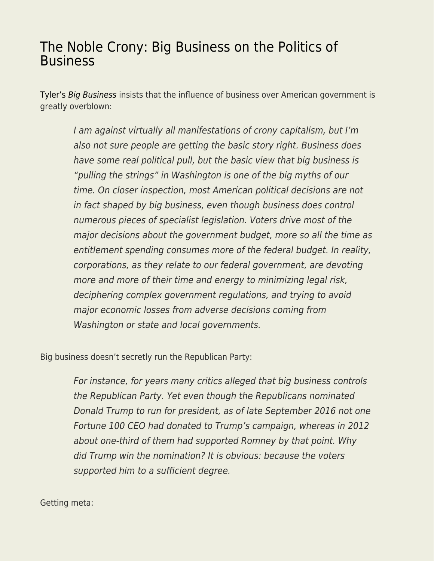## [The Noble Crony: Big Business on the Politics of](https://everything-voluntary.com/the-noble-crony-big-business-on-the-politics-of-business) [Business](https://everything-voluntary.com/the-noble-crony-big-business-on-the-politics-of-business)

[Tyler's](https://www.econlib.org/big-business-recasting-the-anti-hero/) [Big Business](https://www.econlib.org/big-business-recasting-the-anti-hero/) insists that the influence of business over American government is greatly overblown:

I am against virtually all manifestations of crony capitalism, but I'm also not sure people are getting the basic story right. Business does have some real political pull, but the basic view that big business is "pulling the strings" in Washington is one of the big myths of our time. On closer inspection, most American political decisions are not in fact shaped by big business, even though business does control numerous pieces of specialist legislation. Voters drive most of the major decisions about the government budget, more so all the time as entitlement spending consumes more of the federal budget. In reality, corporations, as they relate to our federal government, are devoting more and more of their time and energy to minimizing legal risk, deciphering complex government regulations, and trying to avoid major economic losses from adverse decisions coming from Washington or state and local governments.

Big business doesn't secretly run the Republican Party:

For instance, for years many critics alleged that big business controls the Republican Party. Yet even though the Republicans nominated Donald Trump to run for president, as of late September 2016 not one Fortune 100 CEO had donated to Trump's campaign, whereas in 2012 about one-third of them had supported Romney by that point. Why did Trump win the nomination? It is obvious: because the voters supported him to a sufficient degree.

Getting meta: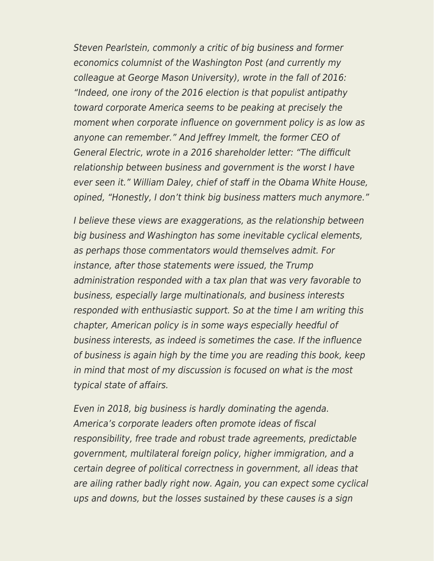Steven Pearlstein, commonly a critic of big business and former economics columnist of the Washington Post (and currently my colleague at George Mason University), wrote in the fall of 2016: "Indeed, one irony of the 2016 election is that populist antipathy toward corporate America seems to be peaking at precisely the moment when corporate influence on government policy is as low as anyone can remember." And Jeffrey Immelt, the former CEO of General Electric, wrote in a 2016 shareholder letter: "The difficult relationship between business and government is the worst I have ever seen it." William Daley, chief of staff in the Obama White House, opined, "Honestly, I don't think big business matters much anymore."

I believe these views are exaggerations, as the relationship between big business and Washington has some inevitable cyclical elements, as perhaps those commentators would themselves admit. For instance, after those statements were issued, the Trump administration responded with a tax plan that was very favorable to business, especially large multinationals, and business interests responded with enthusiastic support. So at the time I am writing this chapter, American policy is in some ways especially heedful of business interests, as indeed is sometimes the case. If the influence of business is again high by the time you are reading this book, keep in mind that most of my discussion is focused on what is the most typical state of affairs.

Even in 2018, big business is hardly dominating the agenda. America's corporate leaders often promote ideas of fiscal responsibility, free trade and robust trade agreements, predictable government, multilateral foreign policy, higher immigration, and a certain degree of political correctness in government, all ideas that are ailing rather badly right now. Again, you can expect some cyclical ups and downs, but the losses sustained by these causes is a sign